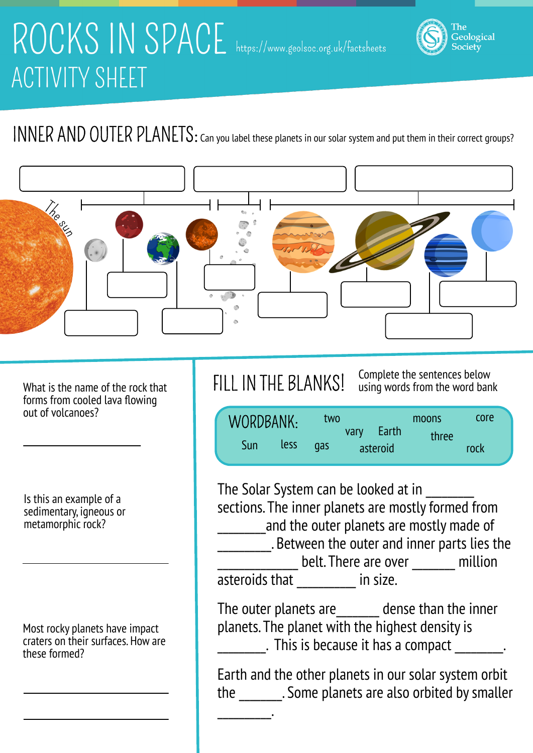# ROCKS IN SPACE https://www.geolsoc.org.uk/factsheets **ACTIVITY SHEET**

### INNER AND OUTER PLANETS: Can you label these planets in our solar system and put them in their correct groups?



What is the name of the rock that forms from cooled lava flowing out of volcanoes?

Is this an example of a sedimentary, igneous or metamorphic rock?

Most rocky planets have impact craters on their surfaces. How are these formed?

\_\_\_\_\_\_\_\_\_\_.

FILL IN THE BLANKS! Complete the sentences below using words from the word bank

Geological<br>Society

| WORDBANK: |      | two |      | Earth    | moons | core |
|-----------|------|-----|------|----------|-------|------|
| Sun       | less | gas | vary | asteroid | three | rock |

The Solar System can be looked at in sections. The inner planets are mostly formed from and the outer planets are mostly made of **\_\_\_\_\_\_\_\_**. Between the outer and inner parts lies the \_\_\_\_\_\_\_\_\_\_\_\_\_\_\_ belt. There are over \_\_\_\_\_\_\_\_ million asteroids that \_\_\_\_\_\_\_\_\_\_ in size.

The outer planets are **dense than the inner** planets. The planet with the highest density is . This is because it has a compact \_\_\_\_\_\_\_\_.

Earth and the other planets in our solar system orbit the \_\_\_\_\_\_\_\_. Some planets are also orbited by smaller